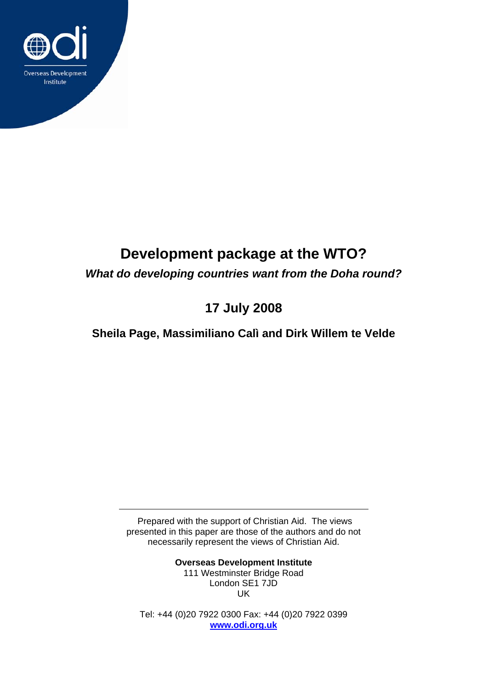

# **Development package at the WTO?**

*What do developing countries want from the Doha round?* 

## **17 July 2008**

### **Sheila Page, Massimiliano Calì and Dirk Willem te Velde**

 Prepared with the support of Christian Aid. The views presented in this paper are those of the authors and do not necessarily represent the views of Christian Aid.

> **Overseas Development Institute**  111 Westminster Bridge Road London SE1 7JD UK

Tel: +44 (0)20 7922 0300 Fax: +44 (0)20 7922 0399 **[www.odi.org.uk](http://www.odi.org.uk/)**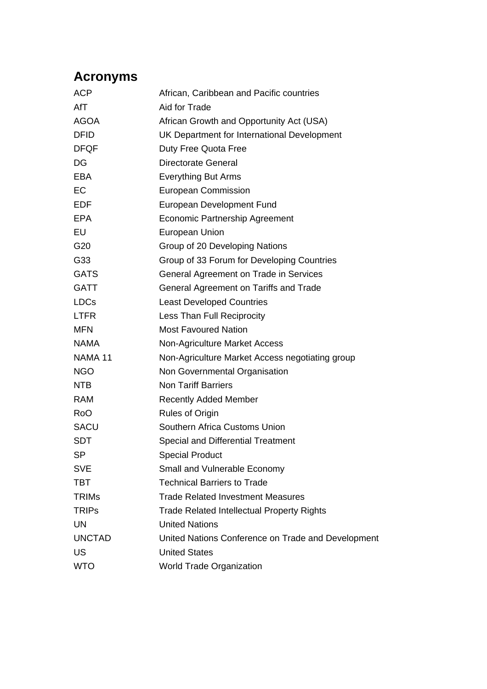## **Acronyms**

| <b>ACP</b>         | African, Caribbean and Pacific countries           |
|--------------------|----------------------------------------------------|
| AfT                | Aid for Trade                                      |
| <b>AGOA</b>        | African Growth and Opportunity Act (USA)           |
| <b>DFID</b>        | UK Department for International Development        |
| <b>DFQF</b>        | Duty Free Quota Free                               |
| DG                 | Directorate General                                |
| <b>EBA</b>         | <b>Everything But Arms</b>                         |
| EC                 | <b>European Commission</b>                         |
| <b>EDF</b>         | European Development Fund                          |
| EPA                | Economic Partnership Agreement                     |
| EU                 | <b>European Union</b>                              |
| G20                | Group of 20 Developing Nations                     |
| G33                | Group of 33 Forum for Developing Countries         |
| <b>GATS</b>        | General Agreement on Trade in Services             |
| <b>GATT</b>        | General Agreement on Tariffs and Trade             |
| <b>LDCs</b>        | <b>Least Developed Countries</b>                   |
| <b>LTFR</b>        | Less Than Full Reciprocity                         |
| <b>MFN</b>         | <b>Most Favoured Nation</b>                        |
| <b>NAMA</b>        | Non-Agriculture Market Access                      |
| NAMA <sub>11</sub> | Non-Agriculture Market Access negotiating group    |
| <b>NGO</b>         | Non Governmental Organisation                      |
| <b>NTB</b>         | <b>Non Tariff Barriers</b>                         |
| RAM                | <b>Recently Added Member</b>                       |
| <b>RoO</b>         | Rules of Origin                                    |
| <b>SACU</b>        | Southern Africa Customs Union                      |
| <b>SDT</b>         | <b>Special and Differential Treatment</b>          |
| <b>SP</b>          | <b>Special Product</b>                             |
| <b>SVE</b>         | Small and Vulnerable Economy                       |
| <b>TBT</b>         | <b>Technical Barriers to Trade</b>                 |
| <b>TRIMs</b>       | <b>Trade Related Investment Measures</b>           |
| <b>TRIPs</b>       | <b>Trade Related Intellectual Property Rights</b>  |
| UN                 | <b>United Nations</b>                              |
| <b>UNCTAD</b>      | United Nations Conference on Trade and Development |
| US                 | <b>United States</b>                               |
| <b>WTO</b>         | <b>World Trade Organization</b>                    |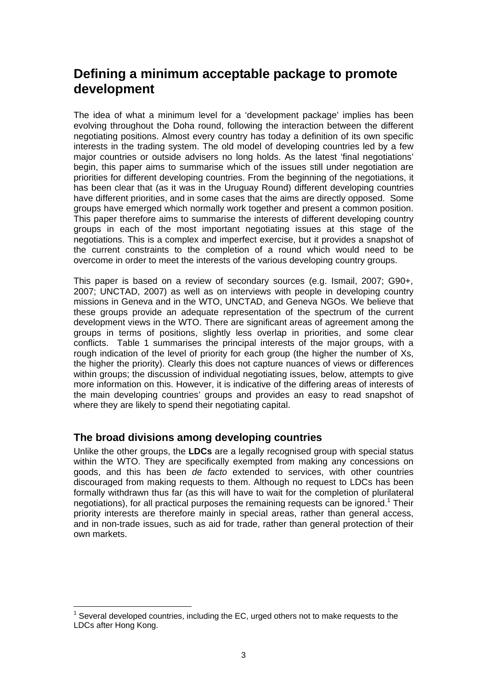## **Defining a minimum acceptable package to promote development**

The idea of what a minimum level for a 'development package' implies has been evolving throughout the Doha round, following the interaction between the different negotiating positions. Almost every country has today a definition of its own specific interests in the trading system. The old model of developing countries led by a few major countries or outside advisers no long holds. As the latest 'final negotiations' begin, this paper aims to summarise which of the issues still under negotiation are priorities for different developing countries. From the beginning of the negotiations, it has been clear that (as it was in the Uruguay Round) different developing countries have different priorities, and in some cases that the aims are directly opposed. Some groups have emerged which normally work together and present a common position. This paper therefore aims to summarise the interests of different developing country groups in each of the most important negotiating issues at this stage of the negotiations. This is a complex and imperfect exercise, but it provides a snapshot of the current constraints to the completion of a round which would need to be overcome in order to meet the interests of the various developing country groups.

This paper is based on a review of secondary sources (e.g. Ismail, 2007; G90+, 2007; UNCTAD, 2007) as well as on interviews with people in developing country missions in Geneva and in the WTO, UNCTAD, and Geneva NGOs. We believe that these groups provide an adequate representation of the spectrum of the current development views in the WTO. There are significant areas of agreement among the groups in terms of positions, slightly less overlap in priorities, and some clear conflicts. Table 1 summarises the principal interests of the major groups, with a rough indication of the level of priority for each group (the higher the number of Xs, the higher the priority). Clearly this does not capture nuances of views or differences within groups; the discussion of individual negotiating issues, below, attempts to give more information on this. However, it is indicative of the differing areas of interests of the main developing countries' groups and provides an easy to read snapshot of where they are likely to spend their negotiating capital.

### **The broad divisions among developing countries**

Unlike the other groups, the **LDCs** are a legally recognised group with special status within the WTO. They are specifically exempted from making any concessions on goods, and this has been *de facto* extended to services, with other countries discouraged from making requests to them. Although no request to LDCs has been formally withdrawn thus far (as this will have to wait for the completion of plurilateral negotiations), for all practical purposes the remaining requests can be ignored.<sup>1</sup> Their priority interests are therefore mainly in special areas, rather than general access, and in non-trade issues, such as aid for trade, rather than general protection of their own markets.

<span id="page-2-0"></span> $\overline{a}$  $1$  Several developed countries, including the EC, urged others not to make requests to the LDCs after Hong Kong.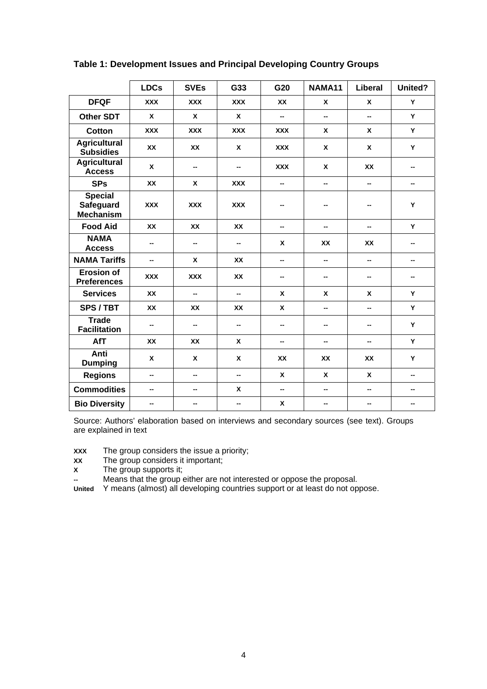|                                                 | <b>LDCs</b> | <b>SVEs</b> | G33                      | G20        | NAMA11       | Liberal      | United? |
|-------------------------------------------------|-------------|-------------|--------------------------|------------|--------------|--------------|---------|
| <b>DFQF</b>                                     | <b>XXX</b>  | <b>XXX</b>  | <b>XXX</b>               | <b>XX</b>  | $\mathbf{x}$ | X            | Y       |
| <b>Other SDT</b>                                | X           | X           | X                        | -−         | --           | -−           | Y       |
| <b>Cotton</b>                                   | <b>XXX</b>  | <b>XXX</b>  | <b>XXX</b>               | <b>XXX</b> | X            | X            | Y       |
| <b>Agricultural</b><br><b>Subsidies</b>         | XX          | <b>XX</b>   | X                        | <b>XXX</b> | X            | X            | Y       |
| <b>Agricultural</b><br><b>Access</b>            | $\mathbf x$ | --          | --                       | <b>XXX</b> | X            | <b>XX</b>    | --      |
| <b>SPs</b>                                      | <b>XX</b>   | X           | <b>XXX</b>               | --         | --           | --           | --      |
| <b>Special</b><br>Safeguard<br><b>Mechanism</b> | XXX         | <b>XXX</b>  | XXX                      | --         | --           | --           | Υ       |
| <b>Food Aid</b>                                 | <b>XX</b>   | <b>XX</b>   | <b>XX</b>                | --         | --           | --           | Y       |
| <b>NAMA</b><br><b>Access</b>                    | --          |             |                          | X          | <b>XX</b>    | XX           |         |
| <b>NAMA Tariffs</b>                             | --          | X           | <b>XX</b>                | -−         | -−           | -−           | --      |
| <b>Erosion of</b><br><b>Preferences</b>         | <b>XXX</b>  | <b>XXX</b>  | XX                       | --         | --           | --           | --      |
| <b>Services</b>                                 | <b>XX</b>   | --          | $\overline{\phantom{a}}$ | X          | X            | X            | Y       |
| SPS / TBT                                       | <b>XX</b>   | <b>XX</b>   | <b>XX</b>                | X          | --           | --           | Y       |
| <b>Trade</b><br><b>Facilitation</b>             | --          | --          | --                       | --         | --           | --           | Y       |
| AfT                                             | <b>XX</b>   | <b>XX</b>   | X                        | --         | --           | --           | Y       |
| <b>Anti</b><br><b>Dumping</b>                   | X           | X           | X                        | XX         | <b>XX</b>    | <b>XX</b>    | Y       |
| <b>Regions</b>                                  | --          | --          | $\overline{\phantom{a}}$ | X          | X            | $\mathbf{x}$ | --      |
| <b>Commodities</b>                              | --          | --          | X                        | −−         | --           | -−           | --      |
| <b>Bio Diversity</b>                            | --          | --          | --                       | X          | --           | --           | --      |

**Table 1: Development Issues and Principal Developing Country Groups** 

Source: Authors' elaboration based on interviews and secondary sources (see text). Groups are explained in text

**XXX** The group considers the issue a priority;<br>**XX** The group considers it important;

**XX** The group considers it important;<br>**X** The group supports it:

The group supports it;

**--** Means that the group either are not interested or oppose the proposal.

**United** Y means (almost) all developing countries support or at least do not oppose.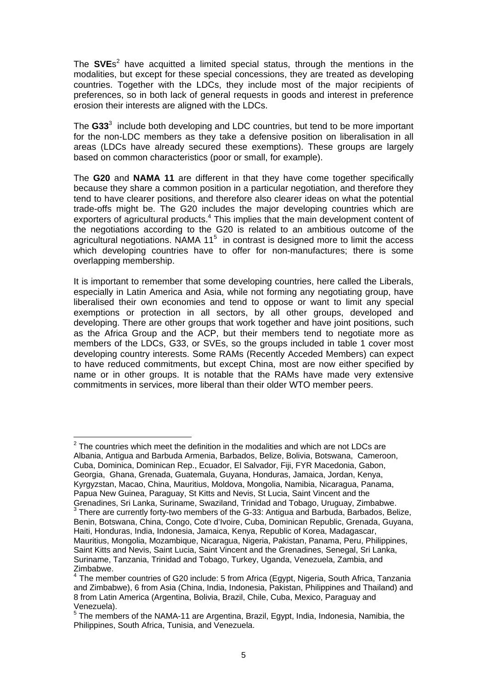The SVEs<sup>[2](#page-4-0)</sup> have acquitted a limited special status, through the mentions in the modalities, but except for these special concessions, they are treated as developing countries. Together with the LDCs, they include most of the major recipients of preferences, so in both lack of general requests in goods and interest in preference erosion their interests are aligned with the LDCs.

The **G33**[3](#page-4-1) include both developing and LDC countries, but tend to be more important for the non-LDC members as they take a defensive position on liberalisation in all areas (LDCs have already secured these exemptions). These groups are largely based on common characteristics (poor or small, for example).

The **G20** and **NAMA 11** are different in that they have come together specifically because they share a common position in a particular negotiation, and therefore they tend to have clearer positions, and therefore also clearer ideas on what the potential trade-offs might be. The G20 includes the major developing countries which are exporters of agricultural products.<sup>4</sup> This implies that the main development content of the negotiations according to the G20 is related to an ambitious outcome of the agricultural negotiations. NAMA  $11<sup>5</sup>$  $11<sup>5</sup>$  $11<sup>5</sup>$  in contrast is designed more to limit the access which developing countries have to offer for non-manufactures; there is some overlapping membership.

It is important to remember that some developing countries, here called the Liberals, especially in Latin America and Asia, while not forming any negotiating group, have liberalised their own economies and tend to oppose or want to limit any special exemptions or protection in all sectors, by all other groups, developed and developing. There are other groups that work together and have joint positions, such as the Africa Group and the ACP, but their members tend to negotiate more as members of the LDCs, G33, or SVEs, so the groups included in table 1 cover most developing country interests. Some RAMs (Recently Acceded Members) can expect to have reduced commitments, but except China, most are now either specified by name or in other groups. It is notable that the RAMs have made very extensive commitments in services, more liberal than their older WTO member peers.

<span id="page-4-0"></span> $2$  The countries which meet the definition in the modalities and which are not LDCs are Albania, Antigua and Barbuda Armenia, Barbados, Belize, Bolivia, Botswana, Cameroon, Cuba, Dominica, Dominican Rep., Ecuador, El Salvador, Fiji, FYR Macedonia, Gabon, Georgia, Ghana, Grenada, Guatemala, Guyana, Honduras, Jamaica, Jordan, Kenya, Kyrgyzstan, Macao, China, Mauritius, Moldova, Mongolia, Namibia, Nicaragua, Panama, Papua New Guinea, Paraguay, St Kitts and Nevis, St Lucia, Saint Vincent and the

 $\overline{a}$ 

<span id="page-4-1"></span>Grenadines, Sri Lanka, Suriname, Swaziland, Trinidad and Tobago, Uruguay, Zimbabwe.  $3$  There are currently forty-two members of the G-33: Antigua and Barbuda, Barbados, Belize, Benin, Botswana, China, Congo, Cote d'Ivoire, Cuba, Dominican Republic, Grenada, Guyana, Haiti, Honduras, India, Indonesia, Jamaica, Kenya, Republic of Korea, Madagascar, Mauritius, Mongolia, Mozambique, Nicaragua, Nigeria, Pakistan, Panama, Peru, Philippines, Saint Kitts and Nevis, Saint Lucia, Saint Vincent and the Grenadines, Senegal, Sri Lanka, Suriname, Tanzania, Trinidad and Tobago, Turkey, Uganda, Venezuela, Zambia, and Zimbabwe.

<span id="page-4-2"></span><sup>&</sup>lt;sup>4</sup> The member countries of G20 include: 5 from Africa (Egypt, Nigeria, South Africa, Tanzania and Zimbabwe), 6 from Asia (China, India, Indonesia, Pakistan, Philippines and Thailand) and 8 from Latin America (Argentina, Bolivia, Brazil, Chile, Cuba, Mexico, Paraguay and

<span id="page-4-3"></span>Venezuela).<br><sup>5</sup> The members of the NAMA-11 are Argentina, Brazil, Egypt, India, Indonesia, Namibia, the Philippines, South Africa, Tunisia, and Venezuela.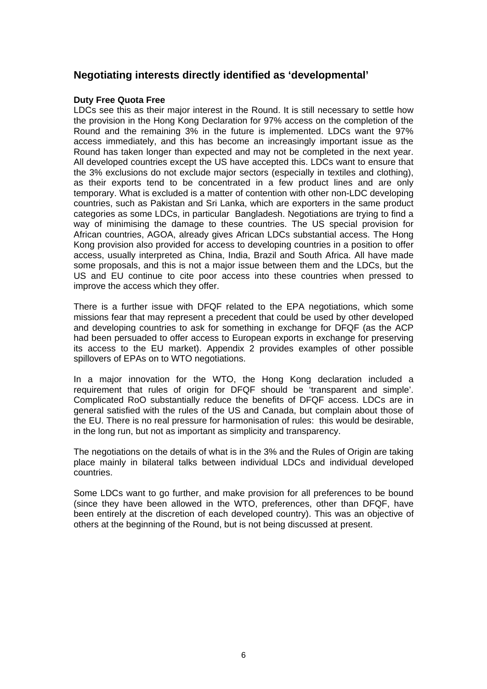### **Negotiating interests directly identified as 'developmental'**

#### **Duty Free Quota Free**

LDCs see this as their major interest in the Round. It is still necessary to settle how the provision in the Hong Kong Declaration for 97% access on the completion of the Round and the remaining 3% in the future is implemented. LDCs want the 97% access immediately, and this has become an increasingly important issue as the Round has taken longer than expected and may not be completed in the next year. All developed countries except the US have accepted this. LDCs want to ensure that the 3% exclusions do not exclude major sectors (especially in textiles and clothing), as their exports tend to be concentrated in a few product lines and are only temporary. What is excluded is a matter of contention with other non-LDC developing countries, such as Pakistan and Sri Lanka, which are exporters in the same product categories as some LDCs, in particular Bangladesh. Negotiations are trying to find a way of minimising the damage to these countries. The US special provision for African countries, AGOA, already gives African LDCs substantial access. The Hong Kong provision also provided for access to developing countries in a position to offer access, usually interpreted as China, India, Brazil and South Africa. All have made some proposals, and this is not a major issue between them and the LDCs, but the US and EU continue to cite poor access into these countries when pressed to improve the access which they offer.

There is a further issue with DFQF related to the EPA negotiations, which some missions fear that may represent a precedent that could be used by other developed and developing countries to ask for something in exchange for DFQF (as the ACP had been persuaded to offer access to European exports in exchange for preserving its access to the EU market). Appendix 2 provides examples of other possible spillovers of EPAs on to WTO negotiations.

In a major innovation for the WTO, the Hong Kong declaration included a requirement that rules of origin for DFQF should be 'transparent and simple'. Complicated RoO substantially reduce the benefits of DFQF access. LDCs are in general satisfied with the rules of the US and Canada, but complain about those of the EU. There is no real pressure for harmonisation of rules: this would be desirable, in the long run, but not as important as simplicity and transparency.

The negotiations on the details of what is in the 3% and the Rules of Origin are taking place mainly in bilateral talks between individual LDCs and individual developed countries.

Some LDCs want to go further, and make provision for all preferences to be bound (since they have been allowed in the WTO, preferences, other than DFQF, have been entirely at the discretion of each developed country). This was an objective of others at the beginning of the Round, but is not being discussed at present.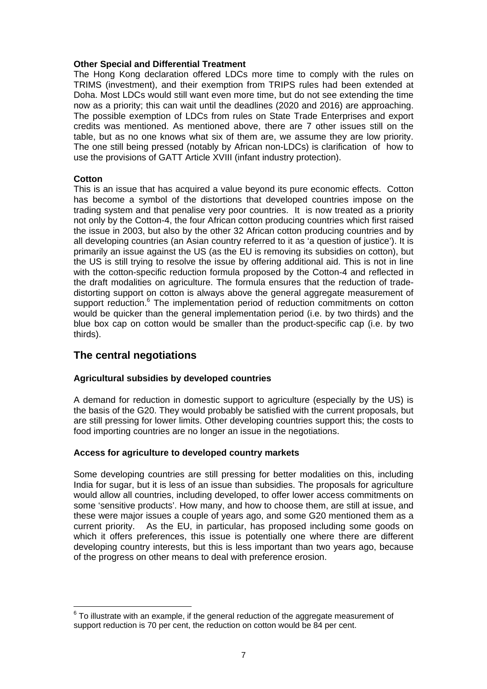#### **Other Special and Differential Treatment**

The Hong Kong declaration offered LDCs more time to comply with the rules on TRIMS (investment), and their exemption from TRIPS rules had been extended at Doha. Most LDCs would still want even more time, but do not see extending the time now as a priority; this can wait until the deadlines (2020 and 2016) are approaching. The possible exemption of LDCs from rules on State Trade Enterprises and export credits was mentioned. As mentioned above, there are 7 other issues still on the table, but as no one knows what six of them are, we assume they are low priority. The one still being pressed (notably by African non-LDCs) is clarification of how to use the provisions of GATT Article XVIII (infant industry protection).

#### **Cotton**

This is an issue that has acquired a value beyond its pure economic effects. Cotton has become a symbol of the distortions that developed countries impose on the trading system and that penalise very poor countries. It is now treated as a priority not only by the Cotton-4, the four African cotton producing countries which first raised the issue in 2003, but also by the other 32 African cotton producing countries and by all developing countries (an Asian country referred to it as 'a question of justice'). It is primarily an issue against the US (as the EU is removing its subsidies on cotton), but the US is still trying to resolve the issue by offering additional aid. This is not in line with the cotton-specific reduction formula proposed by the Cotton-4 and reflected in the draft modalities on agriculture. The formula ensures that the reduction of tradedistorting support on cotton is always above the general aggregate measurement of support reduction.<sup>6</sup> The implementation period of reduction commitments on cotton would be quicker than the general implementation period (i.e. by two thirds) and the blue box cap on cotton would be smaller than the product-specific cap (i.e. by two thirds).

### **The central negotiations**

#### **Agricultural subsidies by developed countries**

A demand for reduction in domestic support to agriculture (especially by the US) is the basis of the G20. They would probably be satisfied with the current proposals, but are still pressing for lower limits. Other developing countries support this; the costs to food importing countries are no longer an issue in the negotiations.

#### **Access for agriculture to developed country markets**

Some developing countries are still pressing for better modalities on this, including India for sugar, but it is less of an issue than subsidies. The proposals for agriculture would allow all countries, including developed, to offer lower access commitments on some 'sensitive products'. How many, and how to choose them, are still at issue, and these were major issues a couple of years ago, and some G20 mentioned them as a current priority. As the EU, in particular, has proposed including some goods on which it offers preferences, this issue is potentially one where there are different developing country interests, but this is less important than two years ago, because of the progress on other means to deal with preference erosion.

<span id="page-6-0"></span> $\overline{a}$  $6$  To illustrate with an example, if the general reduction of the aggregate measurement of support reduction is 70 per cent, the reduction on cotton would be 84 per cent.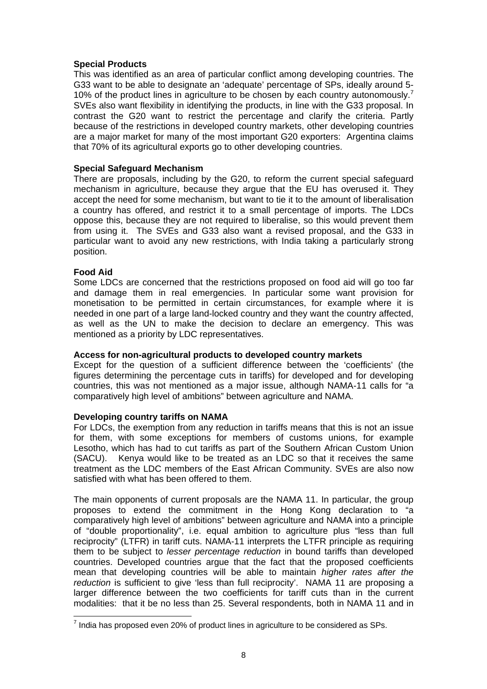#### **Special Products**

This was identified as an area of particular conflict among developing countries. The G33 want to be able to designate an 'adequate' percentage of SPs, ideally around 5- 10% of the product lines in agriculture to be chosen by each country autonomously.<sup>[7](#page-7-0)</sup> SVEs also want flexibility in identifying the products, in line with the G33 proposal. In contrast the G20 want to restrict the percentage and clarify the criteria. Partly because of the restrictions in developed country markets, other developing countries are a major market for many of the most important G20 exporters: Argentina claims that 70% of its agricultural exports go to other developing countries.

#### **Special Safeguard Mechanism**

There are proposals, including by the G20, to reform the current special safeguard mechanism in agriculture, because they argue that the EU has overused it. They accept the need for some mechanism, but want to tie it to the amount of liberalisation a country has offered, and restrict it to a small percentage of imports. The LDCs oppose this, because they are not required to liberalise, so this would prevent them from using it. The SVEs and G33 also want a revised proposal, and the G33 in particular want to avoid any new restrictions, with India taking a particularly strong position.

#### **Food Aid**

 $\overline{a}$ 

Some LDCs are concerned that the restrictions proposed on food aid will go too far and damage them in real emergencies. In particular some want provision for monetisation to be permitted in certain circumstances, for example where it is needed in one part of a large land-locked country and they want the country affected, as well as the UN to make the decision to declare an emergency. This was mentioned as a priority by LDC representatives.

#### **Access for non-agricultural products to developed country markets**

Except for the question of a sufficient difference between the 'coefficients' (the figures determining the percentage cuts in tariffs) for developed and for developing countries, this was not mentioned as a major issue, although NAMA-11 calls for "a comparatively high level of ambitions" between agriculture and NAMA.

#### **Developing country tariffs on NAMA**

For LDCs, the exemption from any reduction in tariffs means that this is not an issue for them, with some exceptions for members of customs unions, for example Lesotho, which has had to cut tariffs as part of the Southern African Custom Union (SACU). Kenya would like to be treated as an LDC so that it receives the same treatment as the LDC members of the East African Community. SVEs are also now satisfied with what has been offered to them.

The main opponents of current proposals are the NAMA 11. In particular, the group proposes to extend the commitment in the Hong Kong declaration to "a comparatively high level of ambitions" between agriculture and NAMA into a principle of "double proportionality", i.e. equal ambition to agriculture plus "less than full reciprocity" (LTFR) in tariff cuts. NAMA-11 interprets the LTFR principle as requiring them to be subject to *lesser percentage reduction* in bound tariffs than developed countries. Developed countries argue that the fact that the proposed coefficients mean that developing countries will be able to maintain *higher rates after the reduction* is sufficient to give 'less than full reciprocity'. NAMA 11 are proposing a larger difference between the two coefficients for tariff cuts than in the current modalities: that it be no less than 25. Several respondents, both in NAMA 11 and in

<span id="page-7-0"></span> $^7$  India has proposed even 20% of product lines in agriculture to be considered as SPs.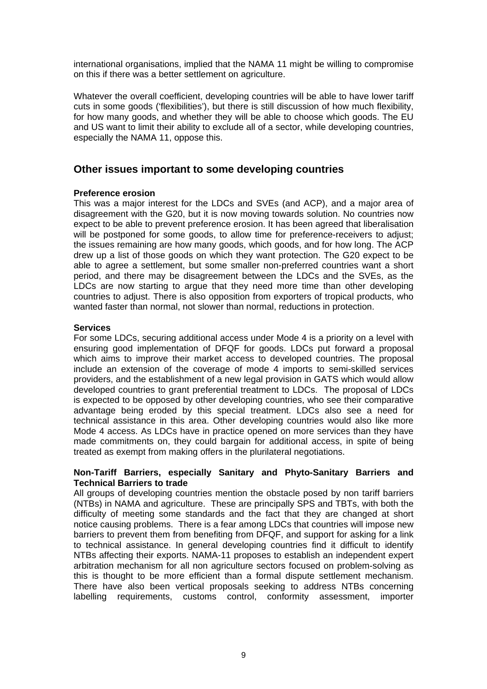international organisations, implied that the NAMA 11 might be willing to compromise on this if there was a better settlement on agriculture.

Whatever the overall coefficient, developing countries will be able to have lower tariff cuts in some goods ('flexibilities'), but there is still discussion of how much flexibility, for how many goods, and whether they will be able to choose which goods. The EU and US want to limit their ability to exclude all of a sector, while developing countries, especially the NAMA 11, oppose this.

### **Other issues important to some developing countries**

#### **Preference erosion**

This was a major interest for the LDCs and SVEs (and ACP), and a major area of disagreement with the G20, but it is now moving towards solution. No countries now expect to be able to prevent preference erosion. It has been agreed that liberalisation will be postponed for some goods, to allow time for preference-receivers to adjust; the issues remaining are how many goods, which goods, and for how long. The ACP drew up a list of those goods on which they want protection. The G20 expect to be able to agree a settlement, but some smaller non-preferred countries want a short period, and there may be disagreement between the LDCs and the SVEs, as the LDCs are now starting to argue that they need more time than other developing countries to adjust. There is also opposition from exporters of tropical products, who wanted faster than normal, not slower than normal, reductions in protection.

#### **Services**

For some LDCs, securing additional access under Mode 4 is a priority on a level with ensuring good implementation of DFQF for goods. LDCs put forward a proposal which aims to improve their market access to developed countries. The proposal include an extension of the coverage of mode 4 imports to semi-skilled services providers, and the establishment of a new legal provision in GATS which would allow developed countries to grant preferential treatment to LDCs. The proposal of LDCs is expected to be opposed by other developing countries, who see their comparative advantage being eroded by this special treatment. LDCs also see a need for technical assistance in this area. Other developing countries would also like more Mode 4 access. As LDCs have in practice opened on more services than they have made commitments on, they could bargain for additional access, in spite of being treated as exempt from making offers in the plurilateral negotiations.

#### **Non-Tariff Barriers, especially Sanitary and Phyto-Sanitary Barriers and Technical Barriers to trade**

All groups of developing countries mention the obstacle posed by non tariff barriers (NTBs) in NAMA and agriculture. These are principally SPS and TBTs, with both the difficulty of meeting some standards and the fact that they are changed at short notice causing problems. There is a fear among LDCs that countries will impose new barriers to prevent them from benefiting from DFQF, and support for asking for a link to technical assistance. In general developing countries find it difficult to identify NTBs affecting their exports. NAMA-11 proposes to establish an independent expert arbitration mechanism for all non agriculture sectors focused on problem-solving as this is thought to be more efficient than a formal dispute settlement mechanism. There have also been vertical proposals seeking to address NTBs concerning labelling requirements, customs control, conformity assessment, importer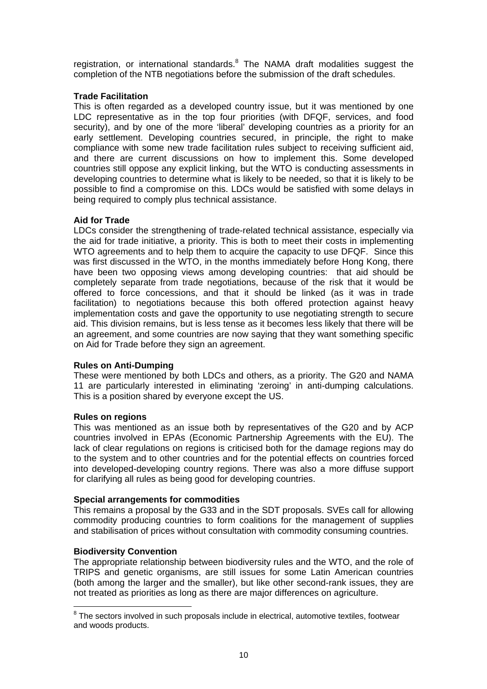registration, or international standards. $8$  The NAMA draft modalities suggest the completion of the NTB negotiations before the submission of the draft schedules.

#### **Trade Facilitation**

This is often regarded as a developed country issue, but it was mentioned by one LDC representative as in the top four priorities (with DFQF, services, and food security), and by one of the more 'liberal' developing countries as a priority for an early settlement. Developing countries secured, in principle, the right to make compliance with some new trade facilitation rules subject to receiving sufficient aid, and there are current discussions on how to implement this. Some developed countries still oppose any explicit linking, but the WTO is conducting assessments in developing countries to determine what is likely to be needed, so that it is likely to be possible to find a compromise on this. LDCs would be satisfied with some delays in being required to comply plus technical assistance.

#### **Aid for Trade**

LDCs consider the strengthening of trade-related technical assistance, especially via the aid for trade initiative, a priority. This is both to meet their costs in implementing WTO agreements and to help them to acquire the capacity to use DFQF. Since this was first discussed in the WTO, in the months immediately before Hong Kong, there have been two opposing views among developing countries: that aid should be completely separate from trade negotiations, because of the risk that it would be offered to force concessions, and that it should be linked (as it was in trade facilitation) to negotiations because this both offered protection against heavy implementation costs and gave the opportunity to use negotiating strength to secure aid. This division remains, but is less tense as it becomes less likely that there will be an agreement, and some countries are now saying that they want something specific on Aid for Trade before they sign an agreement.

#### **Rules on Anti-Dumping**

These were mentioned by both LDCs and others, as a priority. The G20 and NAMA 11 are particularly interested in eliminating 'zeroing' in anti-dumping calculations. This is a position shared by everyone except the US.

#### **Rules on regions**

This was mentioned as an issue both by representatives of the G20 and by ACP countries involved in EPAs (Economic Partnership Agreements with the EU). The lack of clear regulations on regions is criticised both for the damage regions may do to the system and to other countries and for the potential effects on countries forced into developed-developing country regions. There was also a more diffuse support for clarifying all rules as being good for developing countries.

#### **Special arrangements for commodities**

This remains a proposal by the G33 and in the SDT proposals. SVEs call for allowing commodity producing countries to form coalitions for the management of supplies and stabilisation of prices without consultation with commodity consuming countries.

#### **Biodiversity Convention**

 $\overline{a}$ 

The appropriate relationship between biodiversity rules and the WTO, and the role of TRIPS and genetic organisms, are still issues for some Latin American countries (both among the larger and the smaller), but like other second-rank issues, they are not treated as priorities as long as there are major differences on agriculture.

<span id="page-9-0"></span> $8$  The sectors involved in such proposals include in electrical, automotive textiles, footwear and woods products.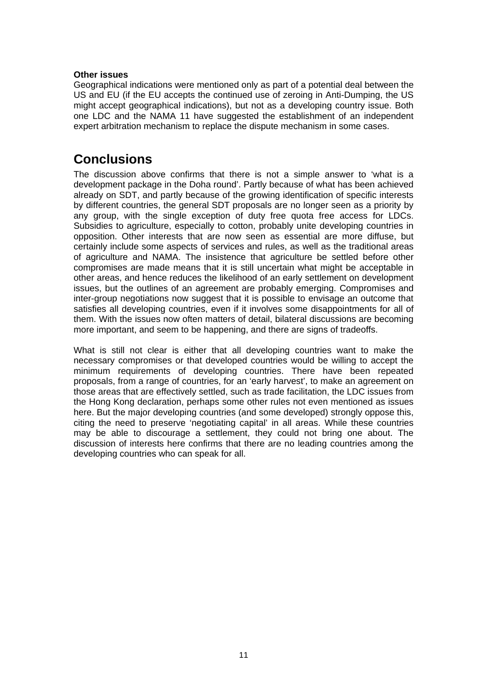#### **Other issues**

Geographical indications were mentioned only as part of a potential deal between the US and EU (if the EU accepts the continued use of zeroing in Anti-Dumping, the US might accept geographical indications), but not as a developing country issue. Both one LDC and the NAMA 11 have suggested the establishment of an independent expert arbitration mechanism to replace the dispute mechanism in some cases.

### **Conclusions**

The discussion above confirms that there is not a simple answer to 'what is a development package in the Doha round'. Partly because of what has been achieved already on SDT, and partly because of the growing identification of specific interests by different countries, the general SDT proposals are no longer seen as a priority by any group, with the single exception of duty free quota free access for LDCs. Subsidies to agriculture, especially to cotton, probably unite developing countries in opposition. Other interests that are now seen as essential are more diffuse, but certainly include some aspects of services and rules, as well as the traditional areas of agriculture and NAMA. The insistence that agriculture be settled before other compromises are made means that it is still uncertain what might be acceptable in other areas, and hence reduces the likelihood of an early settlement on development issues, but the outlines of an agreement are probably emerging. Compromises and inter-group negotiations now suggest that it is possible to envisage an outcome that satisfies all developing countries, even if it involves some disappointments for all of them. With the issues now often matters of detail, bilateral discussions are becoming more important, and seem to be happening, and there are signs of tradeoffs.

What is still not clear is either that all developing countries want to make the necessary compromises or that developed countries would be willing to accept the minimum requirements of developing countries. There have been repeated proposals, from a range of countries, for an 'early harvest', to make an agreement on those areas that are effectively settled, such as trade facilitation, the LDC issues from the Hong Kong declaration, perhaps some other rules not even mentioned as issues here. But the major developing countries (and some developed) strongly oppose this, citing the need to preserve 'negotiating capital' in all areas. While these countries may be able to discourage a settlement, they could not bring one about. The discussion of interests here confirms that there are no leading countries among the developing countries who can speak for all.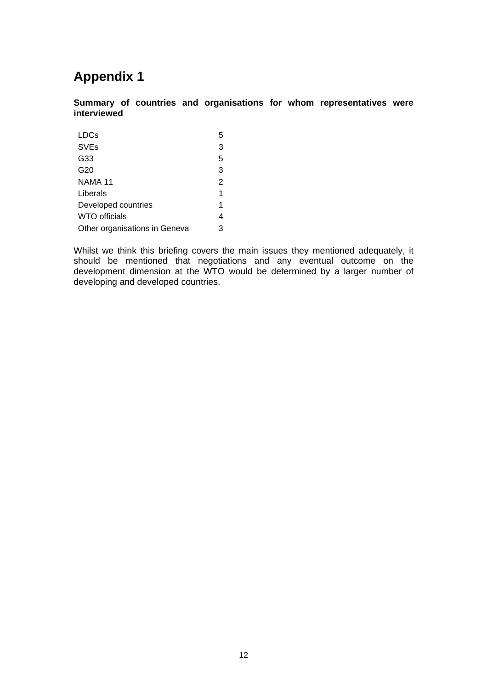## **Appendix 1**

**Summary of countries and organisations for whom representatives were interviewed** 

| <b>LDCs</b>                   | 5 |
|-------------------------------|---|
| <b>SVEs</b>                   | 3 |
| G33                           | 5 |
| G20                           | 3 |
| NAMA 11                       | 2 |
| Liberals                      | 1 |
| Developed countries           | 1 |
| <b>WTO officials</b>          | 4 |
| Other organisations in Geneva | 3 |

Whilst we think this briefing covers the main issues they mentioned adequately, it should be mentioned that negotiations and any eventual outcome on the development dimension at the WTO would be determined by a larger number of developing and developed countries.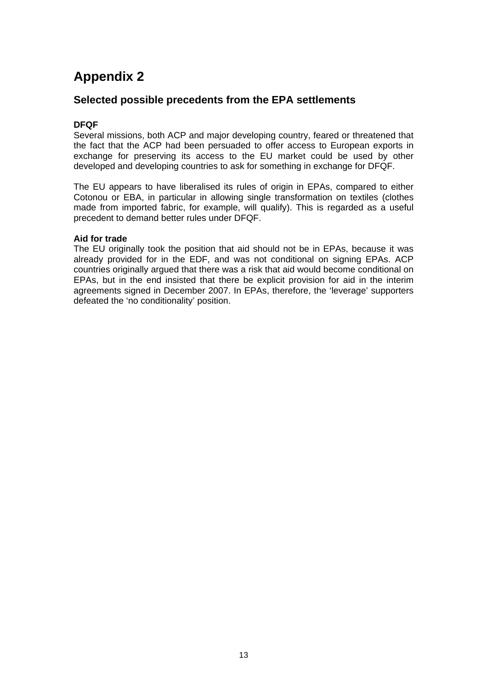## **Appendix 2**

### **Selected possible precedents from the EPA settlements**

### **DFQF**

Several missions, both ACP and major developing country, feared or threatened that the fact that the ACP had been persuaded to offer access to European exports in exchange for preserving its access to the EU market could be used by other developed and developing countries to ask for something in exchange for DFQF.

The EU appears to have liberalised its rules of origin in EPAs, compared to either Cotonou or EBA, in particular in allowing single transformation on textiles (clothes made from imported fabric, for example, will qualify). This is regarded as a useful precedent to demand better rules under DFQF.

#### **Aid for trade**

The EU originally took the position that aid should not be in EPAs, because it was already provided for in the EDF, and was not conditional on signing EPAs. ACP countries originally argued that there was a risk that aid would become conditional on EPAs, but in the end insisted that there be explicit provision for aid in the interim agreements signed in December 2007. In EPAs, therefore, the 'leverage' supporters defeated the 'no conditionality' position.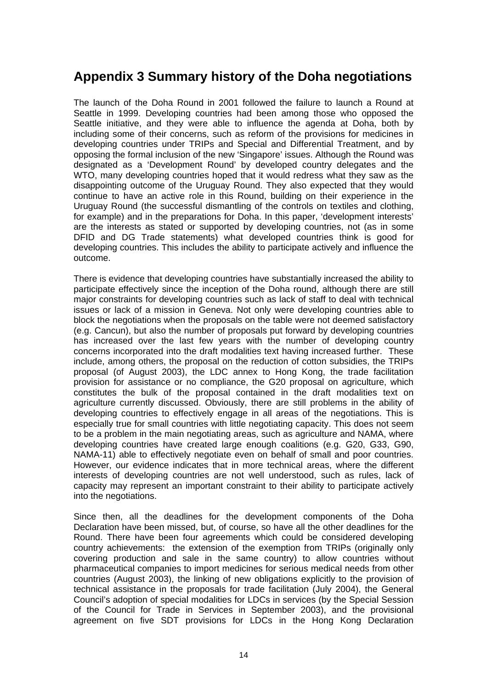## **Appendix 3 Summary history of the Doha negotiations**

The launch of the Doha Round in 2001 followed the failure to launch a Round at Seattle in 1999. Developing countries had been among those who opposed the Seattle initiative, and they were able to influence the agenda at Doha, both by including some of their concerns, such as reform of the provisions for medicines in developing countries under TRIPs and Special and Differential Treatment, and by opposing the formal inclusion of the new 'Singapore' issues. Although the Round was designated as a 'Development Round' by developed country delegates and the WTO, many developing countries hoped that it would redress what they saw as the disappointing outcome of the Uruguay Round. They also expected that they would continue to have an active role in this Round, building on their experience in the Uruguay Round (the successful dismantling of the controls on textiles and clothing, for example) and in the preparations for Doha. In this paper, 'development interests' are the interests as stated or supported by developing countries, not (as in some DFID and DG Trade statements) what developed countries think is good for developing countries. This includes the ability to participate actively and influence the outcome.

There is evidence that developing countries have substantially increased the ability to participate effectively since the inception of the Doha round, although there are still major constraints for developing countries such as lack of staff to deal with technical issues or lack of a mission in Geneva. Not only were developing countries able to block the negotiations when the proposals on the table were not deemed satisfactory (e.g. Cancun), but also the number of proposals put forward by developing countries has increased over the last few years with the number of developing country concerns incorporated into the draft modalities text having increased further. These include, among others, the proposal on the reduction of cotton subsidies, the TRIPs proposal (of August 2003), the LDC annex to Hong Kong, the trade facilitation provision for assistance or no compliance, the G20 proposal on agriculture, which constitutes the bulk of the proposal contained in the draft modalities text on agriculture currently discussed. Obviously, there are still problems in the ability of developing countries to effectively engage in all areas of the negotiations. This is especially true for small countries with little negotiating capacity. This does not seem to be a problem in the main negotiating areas, such as agriculture and NAMA, where developing countries have created large enough coalitions (e.g. G20, G33, G90, NAMA-11) able to effectively negotiate even on behalf of small and poor countries. However, our evidence indicates that in more technical areas, where the different interests of developing countries are not well understood, such as rules, lack of capacity may represent an important constraint to their ability to participate actively into the negotiations.

Since then, all the deadlines for the development components of the Doha Declaration have been missed, but, of course, so have all the other deadlines for the Round. There have been four agreements which could be considered developing country achievements: the extension of the exemption from TRIPs (originally only covering production and sale in the same country) to allow countries without pharmaceutical companies to import medicines for serious medical needs from other countries (August 2003), the linking of new obligations explicitly to the provision of technical assistance in the proposals for trade facilitation (July 2004), the General Council's adoption of special modalities for LDCs in services (by the Special Session of the Council for Trade in Services in September 2003), and the provisional agreement on five SDT provisions for LDCs in the Hong Kong Declaration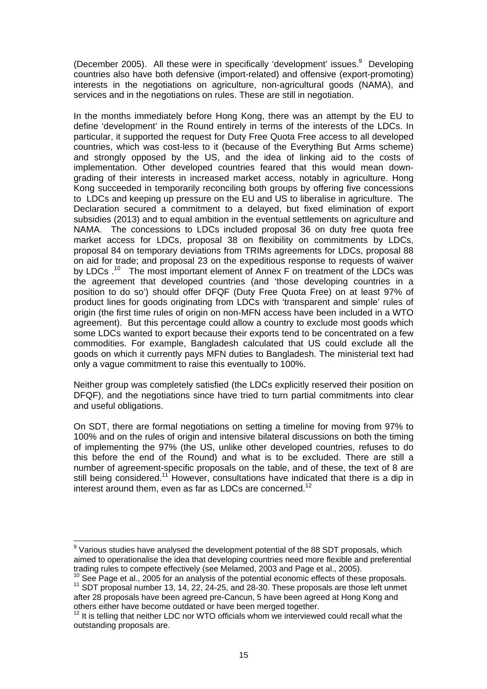(December 2005). All these were in specifically 'development' issues.<sup>[9](#page-14-0)</sup> Developing countries also have both defensive (import-related) and offensive (export-promoting) interests in the negotiations on agriculture, non-agricultural goods (NAMA), and services and in the negotiations on rules. These are still in negotiation.

In the months immediately before Hong Kong, there was an attempt by the EU to define 'development' in the Round entirely in terms of the interests of the LDCs. In particular, it supported the request for Duty Free Quota Free access to all developed countries, which was cost-less to it (because of the Everything But Arms scheme) and strongly opposed by the US, and the idea of linking aid to the costs of implementation. Other developed countries feared that this would mean downgrading of their interests in increased market access, notably in agriculture. Hong Kong succeeded in temporarily reconciling both groups by offering five concessions to LDCs and keeping up pressure on the EU and US to liberalise in agriculture. The Declaration secured a commitment to a delayed, but fixed elimination of export subsidies (2013) and to equal ambition in the eventual settlements on agriculture and NAMA. The concessions to LDCs included proposal 36 on duty free quota free market access for LDCs, proposal 38 on flexibility on commitments by LDCs, proposal 84 on temporary deviations from TRIMs agreements for LDCs, proposal 88 on aid for trade; and proposal 23 on the expeditious response to requests of waiver by LDCs  $^{10}$  The most important element of Annex F on treatment of the LDCs was the agreement that developed countries (and 'those developing countries in a position to do so') should offer DFQF (Duty Free Quota Free) on at least 97% of product lines for goods originating from LDCs with 'transparent and simple' rules of origin (the first time rules of origin on non-MFN access have been included in a WTO agreement). But this percentage could allow a country to exclude most goods which some LDCs wanted to export because their exports tend to be concentrated on a few commodities. For example, Bangladesh calculated that US could exclude all the goods on which it currently pays MFN duties to Bangladesh. The ministerial text had only a vague commitment to raise this eventually to 100%.

Neither group was completely satisfied (the LDCs explicitly reserved their position on DFQF), and the negotiations since have tried to turn partial commitments into clear and useful obligations.

On SDT, there are formal negotiations on setting a timeline for moving from 97% to 100% and on the rules of origin and intensive bilateral discussions on both the timing of implementing the 97% (the US, unlike other developed countries, refuses to do this before the end of the Round) and what is to be excluded. There are still a number of agreement-specific proposals on the table, and of these, the text of 8 are still being considered.<sup>[11](#page-14-2)</sup> However, consultations have indicated that there is a dip in interest around them, even as far as LDCs are concerned.<sup>12</sup>

 $\overline{a}$ 

<span id="page-14-0"></span> $9$  Various studies have analysed the development potential of the 88 SDT proposals, which aimed to operationalise the idea that developing countries need more flexible and preferential trading rules to compete effectively (see Melamed, 2003 and Page et al., 2005).

<span id="page-14-2"></span><span id="page-14-1"></span> $10$  See Page et al., 2005 for an analysis of the potential economic effects of these proposals.<br> $11$  SDT proposal number 13, 14, 22, 24-25, and 28-30. These proposals are those left unmet after 28 proposals have been agreed pre-Cancun, 5 have been agreed at Hong Kong and others either have become outdated or have been merged together.

<span id="page-14-3"></span><sup>&</sup>lt;sup>12</sup> It is telling that neither LDC nor WTO officials whom we interviewed could recall what the outstanding proposals are.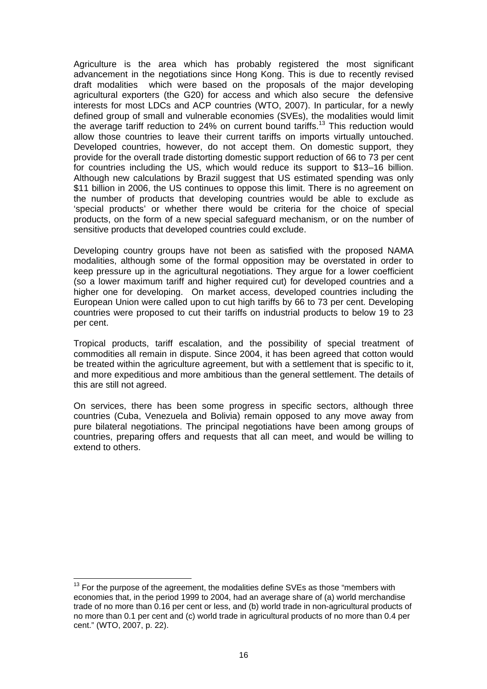Agriculture is the area which has probably registered the most significant advancement in the negotiations since Hong Kong. This is due to recently revised draft modalities which were based on the proposals of the major developing agricultural exporters (the G20) for access and which also secure the defensive interests for most LDCs and ACP countries (WTO, 2007). In particular, for a newly defined group of small and vulnerable economies (SVEs), the modalities would limit the average tariff reduction to 24% on current bound tariffs.<sup>13</sup> This reduction would allow those countries to leave their current tariffs on imports virtually untouched. Developed countries, however, do not accept them. On domestic support, they provide for the overall trade distorting domestic support reduction of 66 to 73 per cent for countries including the US, which would reduce its support to \$13–16 billion. Although new calculations by Brazil suggest that US estimated spending was only \$11 billion in 2006, the US continues to oppose this limit. There is no agreement on the number of products that developing countries would be able to exclude as 'special products' or whether there would be criteria for the choice of special products, on the form of a new special safeguard mechanism, or on the number of sensitive products that developed countries could exclude.

Developing country groups have not been as satisfied with the proposed NAMA modalities, although some of the formal opposition may be overstated in order to keep pressure up in the agricultural negotiations. They argue for a lower coefficient (so a lower maximum tariff and higher required cut) for developed countries and a higher one for developing. On market access, developed countries including the European Union were called upon to cut high tariffs by 66 to 73 per cent. Developing countries were proposed to cut their tariffs on industrial products to below 19 to 23 per cent.

Tropical products, tariff escalation, and the possibility of special treatment of commodities all remain in dispute. Since 2004, it has been agreed that cotton would be treated within the agriculture agreement, but with a settlement that is specific to it, and more expeditious and more ambitious than the general settlement. The details of this are still not agreed.

On services, there has been some progress in specific sectors, although three countries (Cuba, Venezuela and Bolivia) remain opposed to any move away from pure bilateral negotiations. The principal negotiations have been among groups of countries, preparing offers and requests that all can meet, and would be willing to extend to others.

<span id="page-15-0"></span> $\overline{a}$  $13$  For the purpose of the agreement, the modalities define SVEs as those "members with economies that, in the period 1999 to 2004, had an average share of (a) world merchandise trade of no more than 0.16 per cent or less, and (b) world trade in non-agricultural products of no more than 0.1 per cent and (c) world trade in agricultural products of no more than 0.4 per cent." (WTO, 2007, p. 22).